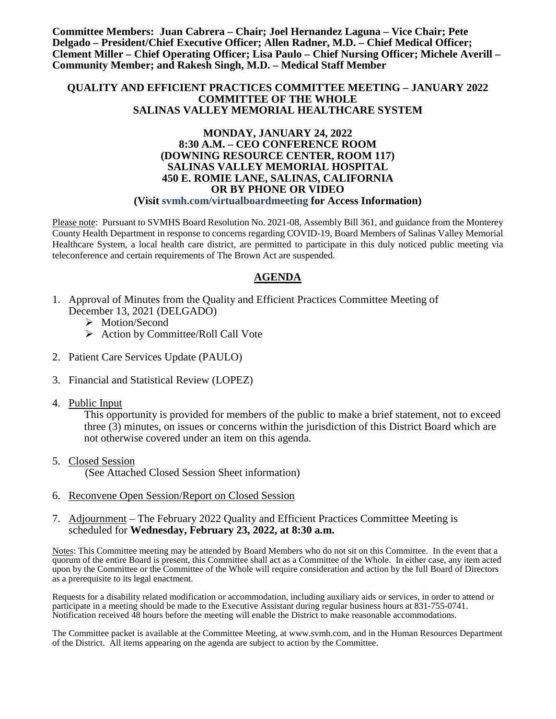**Committee Members: Juan Cabrera – Chair; Joel Hernandez Laguna – Vice Chair; Pete Delgado – President/Chief Executive Officer; Allen Radner, M.D. – Chief Medical Officer; Clement Miller – Chief Operating Officer; Lisa Paulo – Chief Nursing Officer; Michele Averill – Community Member; and Rakesh Singh, M.D. – Medical Staff Member**

#### **QUALITY AND EFFICIENT PRACTICES COMMITTEE MEETING – JANUARY 2022 COMMITTEE OF THE WHOLE SALINAS VALLEY MEMORIAL HEALTHCARE SYSTEM**

#### **MONDAY, JANUARY 24, 2022 8:30 A.M. – CEO CONFERENCE ROOM (DOWNING RESOURCE CENTER, ROOM 117) SALINAS VALLEY MEMORIAL HOSPITAL 450 E. ROMIE LANE, SALINAS, CALIFORNIA OR BY PHONE OR VIDEO (Visit svmh.com/virtualboardmeeting for Access Information)**

Please note: Pursuant to SVMHS Board Resolution No. 2021-08, Assembly Bill 361, and guidance from the Monterey County Health Department in response to concerns regarding COVID-19, Board Members of Salinas Valley Memorial Healthcare System, a local health care district, are permitted to participate in this duly noticed public meeting via teleconference and certain requirements of The Brown Act are suspended.

### **AGENDA**

- 1. Approval of Minutes from the Quality and Efficient Practices Committee Meeting of December 13, 2021 (DELGADO)
	- > Motion/Second
	- $\triangleright$  Action by Committee/Roll Call Vote
- 2. Patient Care Services Update (PAULO)
- 3. Financial and Statistical Review (LOPEZ)
- 4. Public Input

This opportunity is provided for members of the public to make a brief statement, not to exceed three (3) minutes, on issues or concerns within the jurisdiction of this District Board which are not otherwise covered under an item on this agenda.

5. Closed Session

(See Attached Closed Session Sheet information)

6. Reconvene Open Session/Report on Closed Session

#### 7. Adjournment – The February 2022 Quality and Efficient Practices Committee Meeting is scheduled for **Wednesday, February 23, 2022, at 8:30 a.m.**

Notes: This Committee meeting may be attended by Board Members who do not sit on this Committee. In the event that a quorum of the entire Board is present, this Committee shall act as a Committee of the Whole. In either case, any item acted upon by the Committee or the Committee of the Whole will require consideration and action by the full Board of Directors as a prerequisite to its legal enactment.

Requests for a disability related modification or accommodation, including auxiliary aids or services, in order to attend or participate in a meeting should be made to the Executive Assistant during regular business hours at 831-755-0741. Notification received 48 hours before the meeting will enable the District to make reasonable accommodations.

The Committee packet is available at the Committee Meeting, at www.svmh.com, and in the Human Resources Department of the District. All items appearing on the agenda are subject to action by the Committee.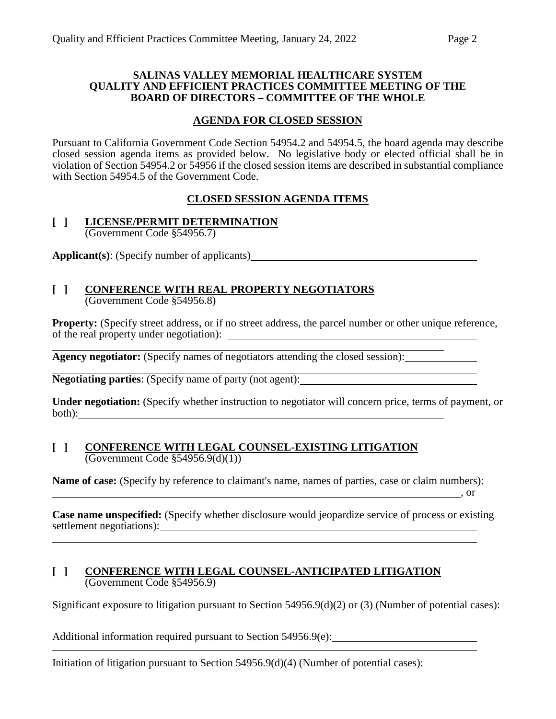#### **SALINAS VALLEY MEMORIAL HEALTHCARE SYSTEM QUALITY AND EFFICIENT PRACTICES COMMITTEE MEETING OF THE BOARD OF DIRECTORS – COMMITTEE OF THE WHOLE**

### **AGENDA FOR CLOSED SESSION**

Pursuant to California Government Code Section 54954.2 and 54954.5, the board agenda may describe closed session agenda items as provided below. No legislative body or elected official shall be in violation of Section 54954.2 or 54956 if the closed session items are described in substantial compliance with Section 54954.5 of the Government Code.

## **CLOSED SESSION AGENDA ITEMS**

#### **[ ] LICENSE/PERMIT DETERMINATION** (Government Code §54956.7)

**Applicant(s)**: (Specify number of applicants)

#### **[ ] CONFERENCE WITH REAL PROPERTY NEGOTIATORS** (Government Code §54956.8)

**Property:** (Specify street address, or if no street address, the parcel number or other unique reference, of the real property under negotiation):

**Agency negotiator:** (Specify names of negotiators attending the closed session):

**Negotiating parties**: (Specify name of party (not agent):

**Under negotiation:** (Specify whether instruction to negotiator will concern price, terms of payment, or both):

#### **[ ] CONFERENCE WITH LEGAL COUNSEL-EXISTING LITIGATION** (Government Code §54956.9(d)(1))

**Name of case:** (Specify by reference to claimant's name, names of parties, case or claim numbers):  $\overline{\phantom{a}}$ , or

**Case name unspecified:** (Specify whether disclosure would jeopardize service of process or existing settlement negotiations):

#### **[ ] CONFERENCE WITH LEGAL COUNSEL-ANTICIPATED LITIGATION** (Government Code §54956.9)

Significant exposure to litigation pursuant to Section 54956.9(d)(2) or (3) (Number of potential cases): <u> 1989 - Johann Stoff, amerikansk politiker (d. 1989)</u>

Additional information required pursuant to Section 54956.9(e):

Initiation of litigation pursuant to Section 54956.9(d)(4) (Number of potential cases):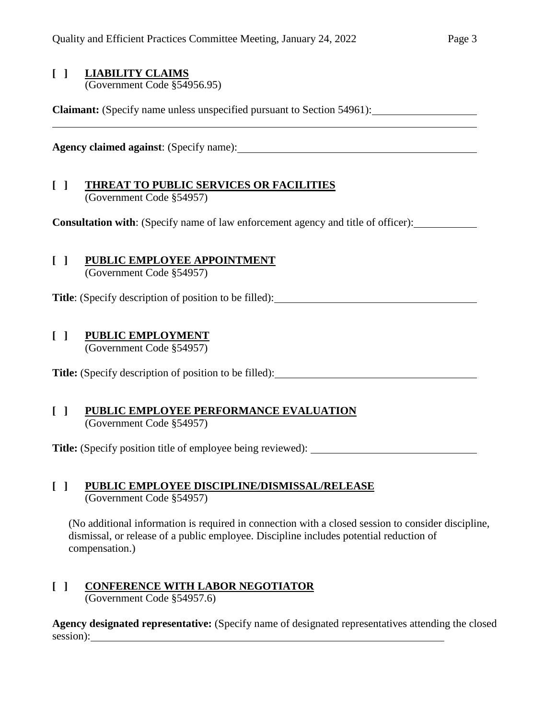## **[ ] LIABILITY CLAIMS**

(Government Code §54956.95)

**Claimant:** (Specify name unless unspecified pursuant to Section 54961):

**Agency claimed against**: (Specify name):

## **[ ] THREAT TO PUBLIC SERVICES OR FACILITIES** (Government Code §54957)

**Consultation with**: (Specify name of law enforcement agency and title of officer):

## **[ ] PUBLIC EMPLOYEE APPOINTMENT**

(Government Code §54957)

**Title**: (Specify description of position to be filled):

## **[ ] PUBLIC EMPLOYMENT**

(Government Code §54957)

**Title:** (Specify description of position to be filled):

#### **[ ] PUBLIC EMPLOYEE PERFORMANCE EVALUATION** (Government Code §54957)

**Title:** (Specify position title of employee being reviewed):

### **[ ] PUBLIC EMPLOYEE DISCIPLINE/DISMISSAL/RELEASE** (Government Code §54957)

(No additional information is required in connection with a closed session to consider discipline, dismissal, or release of a public employee. Discipline includes potential reduction of compensation.)

# **[ ] CONFERENCE WITH LABOR NEGOTIATOR**

(Government Code §54957.6)

**Agency designated representative:** (Specify name of designated representatives attending the closed session):